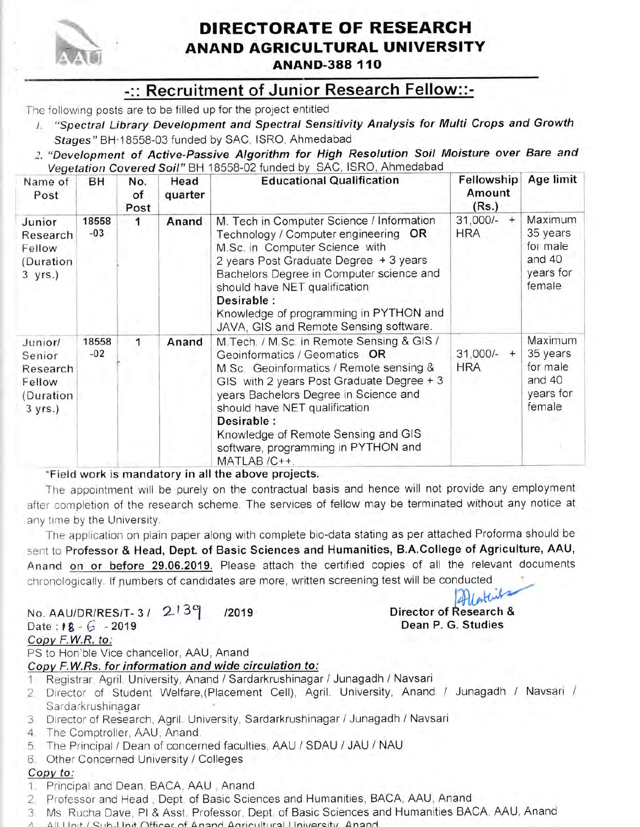

## DIRECTORATE OF RESEARCH **ANAND AGRICULTURAL UNIVERSITY**

**ANAND-388 110** 

### -:: Recruitment of Junior Research Fellow::-

The following posts are to be filled up for the project entitled

- / "Spectral Library Development and Spectral Sensitivity Analysis for Multi Crops and Growth Stages" BH 18558-03 funded by SAC, ISRO, Ahmedabad
- 2. "Development of Active-Passive Algorithm for High Resolution Soil Moisture over Bare and Vegetation Covered Soil" BH 18558-02 funded by SAC, ISRO, Ahmedabad

| Name of<br>Post                                                | BH             | No.<br>of<br>Post | Head<br>quarter | <b>Educational Qualification</b>                                                                                                                                                                                                                                                                                                                          | Fellowship<br>Amount<br>(Rs.)      | Age limit                                                        |
|----------------------------------------------------------------|----------------|-------------------|-----------------|-----------------------------------------------------------------------------------------------------------------------------------------------------------------------------------------------------------------------------------------------------------------------------------------------------------------------------------------------------------|------------------------------------|------------------------------------------------------------------|
| Junior<br>Research<br>Fellow<br>(Duration)<br>$3$ yrs.)        | 18558<br>$-03$ | 1                 | Anand           | M. Tech in Computer Science / Information<br>Technology / Computer engineering OR<br>M.Sc. in Computer Science with<br>2 years Post Graduate Degree + 3 years<br>Bachelors Degree in Computer science and<br>should have NET qualification<br>Desirable:<br>Knowledge of programming in PYTHON and<br>JAVA, GIS and Remote Sensing software.              | $31,000/-$<br>$^{+}$<br><b>HRA</b> | Maximum<br>35 years<br>for male<br>and 40<br>years for<br>female |
| Junior/<br>Senior<br>Research<br>Fellow<br>(Duration<br>3 yrs. | 18558<br>$-02$ | 1                 | Anand           | M. Tech. / M. Sc. in Remote Sensing & GIS /<br>Geoinformatics / Geomatics OR<br>M.Sc. Geoinformatics / Remote sensing &<br>GIS with 2 years Post Graduate Degree + 3<br>years Bachelors Degree in Science and<br>should have NET qualification<br>Desirable:<br>Knowledge of Remote Sensing and GIS<br>software, programming in PYTHON and<br>MATLAB /C++ | $31,000/-$ +<br><b>HRA</b>         | Maximum<br>35 years<br>for male<br>and 40<br>years for<br>female |

#### \*Field work is mandatory in all the above projects.

The appointment will be purely on the contractual basis and hence will not provide any employment after completion of the research scheme. The services of fellow may be terminated without any notice at any time by the University.

The application on plain paper along with complete bio-data stating as per attached Proforma should be sent to Professor & Head, Dept. of Basic Sciences and Humanities, B.A.College of Agriculture, AAU, Anand on or before 29.06.2019. Please attach the certified copies of all the relevant documents chronologically. If numbers of candidates are more, written screening test will be conducted

#### No. AAU/DR/RES/T-3/ 2139 /2019 Date:  $18 - 6 - 2019$

#### Director of Research & Dean P. G. Studies

#### Copy F.W.R. to:

PS to Hon'ble Vice chancellor, AAU, Anand

#### Copy F.W.Rs. for information and wide circulation to:

- 1 Registrar, Agril. University, Anand / Sardarkrushinagar / Junagadh / Navsari
- 2. Director of Student Welfare, (Placement Cell), Agril. University, Anand / Junagadh / Navsari / Sardarkrushinagar
- 3 Director of Research, Agril. University, Sardarkrushinagar / Junagadh / Navsari
- 4. The Comptroller, AAU, Anand.
- 5. The Principal / Dean of concerned faculties, AAU / SDAU / JAU / NAU
- 6. Other Concerned University / Colleges

#### Copy to:

- 1. Principal and Dean, BACA, AAU, Anand
- 2. Professor and Head, Dept. of Basic Sciences and Humanities, BACA, AAU, Anand
- 3. Ms. Rucha Dave, PI & Asst. Professor, Dept. of Basic Sciences and Humanities BACA, AAU, Anand
- 4. All Llpit / Sub-Llpit Officer of Anand Agricultural University, Anand